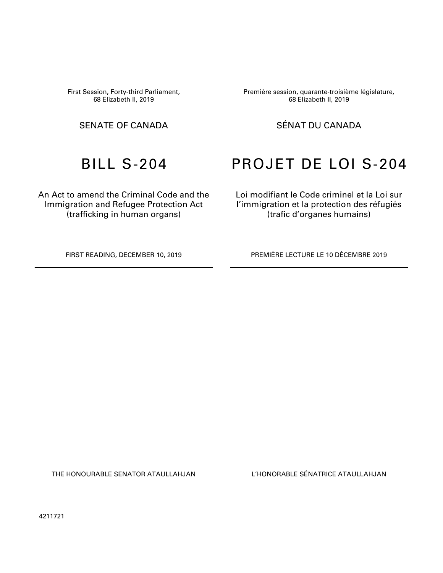First Session, Forty-third Parliament, 68 Elizabeth II, 2019

An Act to amend the Criminal Code and the Immigration and Refugee Protection Act (trafficking in human organs)

Première session, quarante-troisième législature, 68 Elizabeth II, 2019

### SENATE OF CANADA SÉNAT DU CANADA

# BILL S-204 PROJET DE LOI S-204

Loi modifiant le Code criminel et la Loi sur l'immigration et la protection des réfugiés (trafic d'organes humains)

FIRST READING, DECEMBER 10, 2019 PREMIÈRE LECTURE LE 10 DÉCEMBRE 2019

THE HONOURABLE SENATOR ATAULLAHJAN L'HONORABLE SÉNATRICE ATAULLAHJAN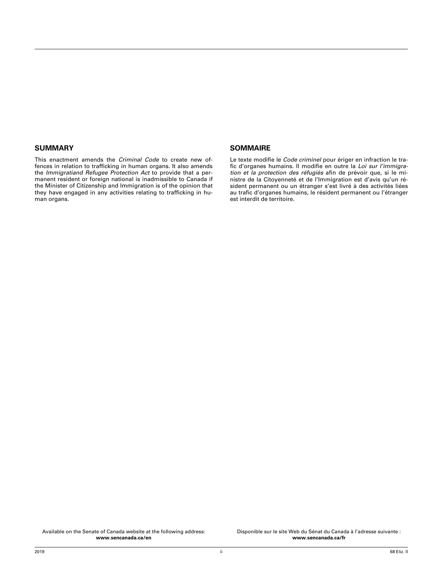#### **SUMMARY**

This enactment amends the *Criminal Code* to create new offences in relation to trafficking in human organs. It also amends the *Immigratiand Refugee Protection Act* to provide that a permanent resident or foreign national is inadmissible to Canada if the Minister of Citizenship and Immigration is of the opinion that they have engaged in any activities relating to trafficking in human organs.

#### **SOMMAIRE**

Le texte modifie le *Code criminel* pour ériger en infraction le trafic d'organes humains. Il modifie en outre la *Loi sur l'immigration et la protection des réfugiés* afin de prévoir que, si le ministre de la Citoyenneté et de l'Immigration est d'avis qu'un résident permanent ou un étranger s'est livré à des activités liées au trafic d'organes humains, le résident permanent ou l'étranger est interdit de territoire.

Available on the Senate of Canada website at the following address: **[www.sencanada.ca/en](http://www.sencanada.ca/en)**

Disponible sur le site Web du Sénat du Canada à l'adresse suivante : **[www.sencanada.ca/fr](http://www.sencanada.ca/fr)**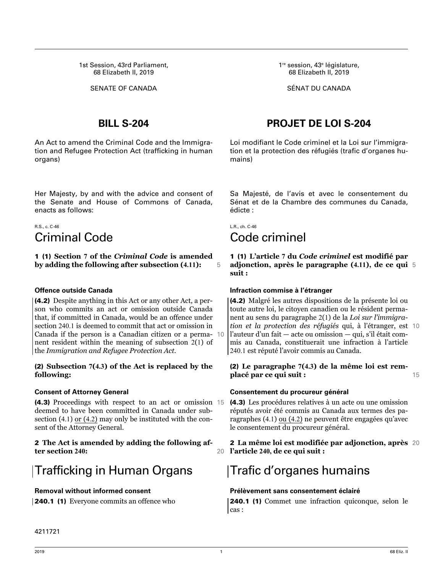1st Session, 43rd Parliament, 68 Elizabeth II, 2019

An Act to amend the Criminal Code and the Immigration and Refugee Protection Act (trafficking in human organs)

Her Majesty, by and with the advice and consent of the Senate and House of Commons of Canada, enacts as follows:

### R.S., c. C-46 Criminal Code

1 (1) **Section 7 of the** *Criminal Code* **is amended by adding the following after subsection (4.11):** 5

### **Offence outside Canada**

(4.2) Despite anything in this Act or any other Act, a person who commits an act or omission outside Canada that, if committed in Canada, would be an offence under section 240.1 is deemed to commit that act or omission in Canada if the person is a Canadian citizen or a perma- 10 nent resident within the meaning of subsection 2(1) of the *Immigration and Refugee Protection Act.*

#### (2) **Subsection 7(4.3) of the Act is replaced by the following:**

### **Consent of Attorney General**

(4.3) Proceedings with respect to an act or omission 15 deemed to have been committed in Canada under subsection (4.1) or (4.2) may only be instituted with the consent of the Attorney General.

#### 2 **The Act is amended by adding the following after section 240:** 20

# Trafficking in Human Organs

### **Removal without informed consent**

240.1 (1) Everyone commits an offence who

1<sup>re</sup> session, 43<sup>e</sup> législature, 68 Elizabeth II, 2019

SENATE OF CANADA SÉNAT DU CANADA

## **BILL S-204 PROJET DE LOI S-204**

Loi modifiant le Code criminel et la Loi sur l'immigration et la protection des réfugiés (trafic d'organes humains)

Sa Majesté, de l'avis et avec le consentement du Sénat et de la Chambre des communes du Canada, édicte :

L.R., ch. C-46

# Code criminel

1 (1) **L'article 7 du** *Code criminel* **est modifié par adjonction, après le paragraphe (4.11), de ce qui** 5 **suit :**

#### **Infraction commise à l'étranger**

(4.2) Malgré les autres dispositions de la présente loi ou toute autre loi, le citoyen canadien ou le résident permanent au sens du paragraphe 2(1) de la *Loi sur l'immigration et la protection des réfugiés* qui, à l'étranger, est 10 l'auteur d'un fait — acte ou omission — qui, s'il était commis au Canada, constituerait une infraction à l'article 240.1 est réputé l'avoir commis au Canada.

#### (2) **Le paragraphe 7(4.3) de la même loi est remplacé par ce qui suit :** 15

### **Consentement du procureur général**

(4.3) Les procédures relatives à un acte ou une omission réputés avoir été commis au Canada aux termes des paragraphes (4.1) ou (4.2) ne peuvent être engagées qu'avec le consentement du procureur général.

2 **La même loi est modifiée par adjonction, après** 20 **l'article 240, de ce qui suit :**

# Trafic d'organes humains

### **Prélèvement sans consentement éclairé**

240.1 (1) Commet une infraction quiconque, selon le cas :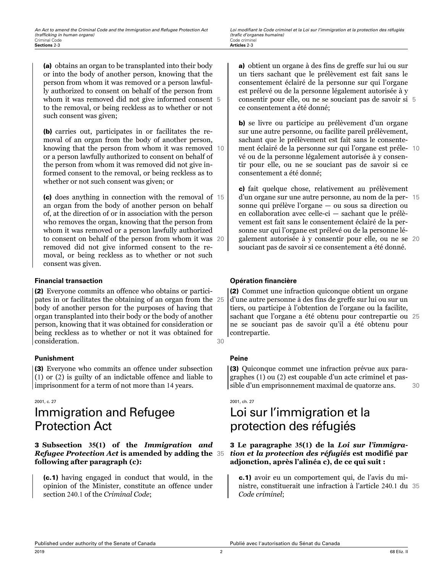(a) obtains an organ to be transplanted into their body or into the body of another person, knowing that the person from whom it was removed or a person lawfully authorized to consent on behalf of the person from whom it was removed did not give informed consent 5 to the removal, or being reckless as to whether or not such consent was given;

(b) carries out, participates in or facilitates the removal of an organ from the body of another person, knowing that the person from whom it was removed 10 or a person lawfully authorized to consent on behalf of the person from whom it was removed did not give informed consent to the removal, or being reckless as to whether or not such consent was given; or

(c) does anything in connection with the removal of 15 an organ from the body of another person on behalf of, at the direction of or in association with the person who removes the organ, knowing that the person from whom it was removed or a person lawfully authorized to consent on behalf of the person from whom it was 20 removed did not give informed consent to the removal, or being reckless as to whether or not such consent was given.

### **Financial transaction**

(2) Everyone commits an offence who obtains or participates in or facilitates the obtaining of an organ from the 25 body of another person for the purposes of having that organ transplanted into their body or the body of another person, knowing that it was obtained for consideration or being reckless as to whether or not it was obtained for consideration. 30

### **Punishment**

(3) Everyone who commits an offence under subsection (1) or (2) is guilty of an indictable offence and liable to imprisonment for a term of not more than 14 years.

#### 2001, c. 27

# Immigration and Refugee Protection Act

#### 3 **Subsection 35(1) of the** *Immigration and Refugee Protection Act* **is amended by adding the** 35 **following after paragraph (c):**

(c.1) having engaged in conduct that would, in the opinion of the Minister, constitute an offence under section 240.1 of the *Criminal Code*;

a) obtient un organe à des fins de greffe sur lui ou sur un tiers sachant que le prélèvement est fait sans le consentement éclairé de la personne sur qui l'organe est prélevé ou de la personne légalement autorisée à y consentir pour elle, ou ne se souciant pas de savoir si 5 ce consentement a été donné;

b) se livre ou participe au prélèvement d'un organe sur une autre personne, ou facilite pareil prélèvement, sachant que le prélèvement est fait sans le consentement éclairé de la personne sur qui l'organe est préle- 10 vé ou de la personne légalement autorisée à y consentir pour elle, ou ne se souciant pas de savoir si ce consentement a été donné;

c) fait quelque chose, relativement au prélèvement d'un organe sur une autre personne, au nom de la per- 15 sonne qui prélève l'organe — ou sous sa direction ou en collaboration avec celle-ci — sachant que le prélèvement est fait sans le consentement éclairé de la personne sur qui l'organe est prélevé ou de la personne légalement autorisée à y consentir pour elle, ou ne se 20 souciant pas de savoir si ce consentement a été donné.

### **Opération financière**

(2) Commet une infraction quiconque obtient un organe d'une autre personne à des fins de greffe sur lui ou sur un tiers, ou participe à l'obtention de l'organe ou la facilite, sachant que l'organe a été obtenu pour contrepartie ou 25 ne se souciant pas de savoir qu'il a été obtenu pour contrepartie.

### **Peine**

(3) Quiconque commet une infraction prévue aux paragraphes (1) ou (2) est coupable d'un acte criminel et passible d'un emprisonnement maximal de quatorze ans. 30

#### 2001, ch. 27

# Loi sur l'immigration et la protection des réfugiés

#### 3 **Le paragraphe 35(1) de la** *Loi sur l'immigration et la protection des réfugiés* **est modifié par adjonction, après l'alinéa c), de ce qui suit :**

c.1) avoir eu un comportement qui, de l'avis du ministre, constituerait une infraction à l'article 240.1 du 35 *Code criminel*;